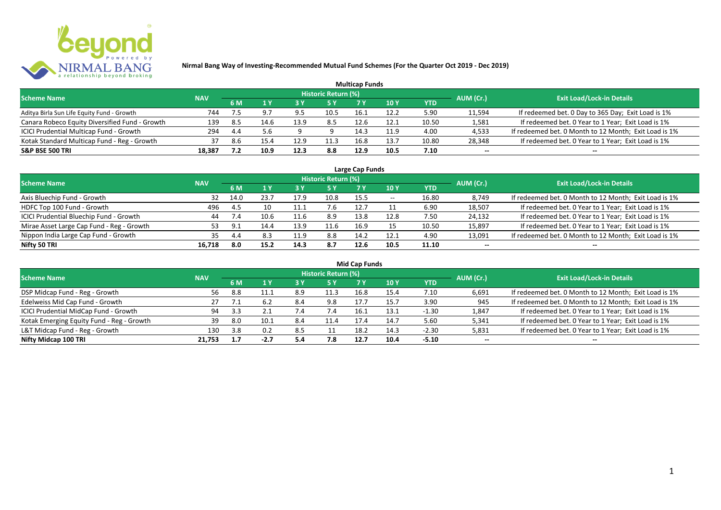

|                                                |            |      |      |      |                     | <b>Multicap Funds</b> |      |            |           |                                                       |
|------------------------------------------------|------------|------|------|------|---------------------|-----------------------|------|------------|-----------|-------------------------------------------------------|
| <b>Scheme Name</b>                             | <b>NAV</b> |      |      |      | Historic Return (%) |                       |      |            | AUM (Cr.) | <b>Exit Load/Lock-in Details</b>                      |
|                                                |            | 6 M  |      |      |                     |                       | 10 Y | <b>YTD</b> |           |                                                       |
| Aditya Birla Sun Life Equity Fund - Growth     | 744        |      |      | 9.5  | 10.5                | 16.1                  | 12.2 | 5.90       | 11,594    | If redeemed bet. 0 Day to 365 Day; Exit Load is 1%    |
| Canara Robeco Equity Diversified Fund - Growth | 139        | -8.5 | 14.6 | 13.9 | 8.5                 | 12.6                  | 12.1 | 10.50      | 1,581     | If redeemed bet. 0 Year to 1 Year; Exit Load is 1%    |
| ICICI Prudential Multicap Fund - Growth        | 294        | 4.4  |      |      |                     | 14.3                  | 11.9 | 4.00       | 4,533     | If redeemed bet. 0 Month to 12 Month; Exit Load is 1% |
| Kotak Standard Multicap Fund - Reg - Growth    | 37         | 8.6  |      | 12.9 | 11.3                | 16.8                  | 13.7 | 10.80      | 28,348    | If redeemed bet. 0 Year to 1 Year; Exit Load is 1%    |
| <b>S&amp;P BSE 500 TRI</b>                     | 18,387     |      | 10.9 | 12.3 | 8.8                 | 12.9                  | 10.5 | 7.10       | $- -$     | $- -$                                                 |

| Large Cap Funds                           |            |      |      |      |                            |      |            |       |           |                                                       |  |  |  |
|-------------------------------------------|------------|------|------|------|----------------------------|------|------------|-------|-----------|-------------------------------------------------------|--|--|--|
| <b>Scheme Name</b>                        | <b>NAV</b> |      |      |      | <b>Historic Return (%)</b> |      |            |       | AUM (Cr.) | <b>Exit Load/Lock-in Details</b>                      |  |  |  |
|                                           |            | 6 M  |      |      | 5 Y                        |      | <b>10Y</b> | YTD   |           |                                                       |  |  |  |
| Axis Bluechip Fund - Growth               | 32         | 14.0 | 23.7 | 17.9 | 10.8                       | 15.5 | $- -$      | 16.80 | 8,749     | If redeemed bet. 0 Month to 12 Month; Exit Load is 1% |  |  |  |
| HDFC Top 100 Fund - Growth                | 496        | -4.5 | 10   | 11.1 | 7.6                        | 12.7 |            | 6.90  | 18,507    | If redeemed bet. 0 Year to 1 Year; Exit Load is 1%    |  |  |  |
| ICICI Prudential Bluechip Fund - Growth   | 44         | 7.4  | 10.6 | 11.6 | 8.9                        | 13.8 | 12.8       | 7.50  | 24,132    | If redeemed bet. 0 Year to 1 Year; Exit Load is 1%    |  |  |  |
| Mirae Asset Large Cap Fund - Reg - Growth | 53         | q    | 14.4 | 13.9 | 11.6                       | 16.9 |            | 10.50 | 15,897    | If redeemed bet. 0 Year to 1 Year; Exit Load is 1%    |  |  |  |
| Nippon India Large Cap Fund - Growth      | 35         | 4.4  | 8.3  | 11.9 | 8.8                        | 14.2 | 12.1       | 4.90  | 13,091    | If redeemed bet. 0 Month to 12 Month; Exit Load is 1% |  |  |  |
| Nifty 50 TRI                              | 16.718     | 8.0  | 15.2 | 14.3 | 8.7                        | 12.6 | 10.5       | 11.10 | $- -$     | $- -$                                                 |  |  |  |

| <b>Mid Cap Funds</b>                      |            |     |        |      |                            |      |      |            |           |                                                       |  |  |  |
|-------------------------------------------|------------|-----|--------|------|----------------------------|------|------|------------|-----------|-------------------------------------------------------|--|--|--|
| <b>Scheme Name</b>                        | <b>NAV</b> |     |        |      | <b>Historic Return (%)</b> |      |      |            | AUM (Cr.) | <b>Exit Load/Lock-in Details</b>                      |  |  |  |
|                                           |            | 6 M |        |      | 5 Y                        | 7 Y  | 10 Y | <b>YTD</b> |           |                                                       |  |  |  |
| DSP Midcap Fund - Reg - Growth            | 56         | 8.8 | 11.1   | 8.9  | 11.3                       | 16.8 | 15.4 | 7.10       | 6,691     | If redeemed bet. 0 Month to 12 Month; Exit Load is 1% |  |  |  |
| Edelweiss Mid Cap Fund - Growth           | 27         |     | 6.2    | 8.4  | 9.8                        | 17.7 | 15.7 | 3.90       | 945       | If redeemed bet. 0 Month to 12 Month; Exit Load is 1% |  |  |  |
| ICICI Prudential MidCap Fund - Growth     | 94         |     | 2.1    | 7.4  | 7.4                        | 16.1 | 13.1 | $-1.30$    | 1,847     | If redeemed bet. 0 Year to 1 Year; Exit Load is 1%    |  |  |  |
| Kotak Emerging Equity Fund - Reg - Growth | 39         | 8.0 | 10.1   | 8.4  | 11.4                       | 17.4 | 14.7 | 5.60       | 5,341     | If redeemed bet. 0 Year to 1 Year; Exit Load is 1%    |  |  |  |
| L&T Midcap Fund - Reg - Growth            | 130        | 3.8 | 0.2    | -8.5 |                            | 18.2 | 14.3 | $-2.30$    | 5,831     | If redeemed bet. 0 Year to 1 Year; Exit Load is 1%    |  |  |  |
| Nifty Midcap 100 TRI                      | 21.753     |     | $-2.7$ | 5.4  | 7.8                        | 12.7 | 10.4 | $-5.10$    | $- -$     | $- -$                                                 |  |  |  |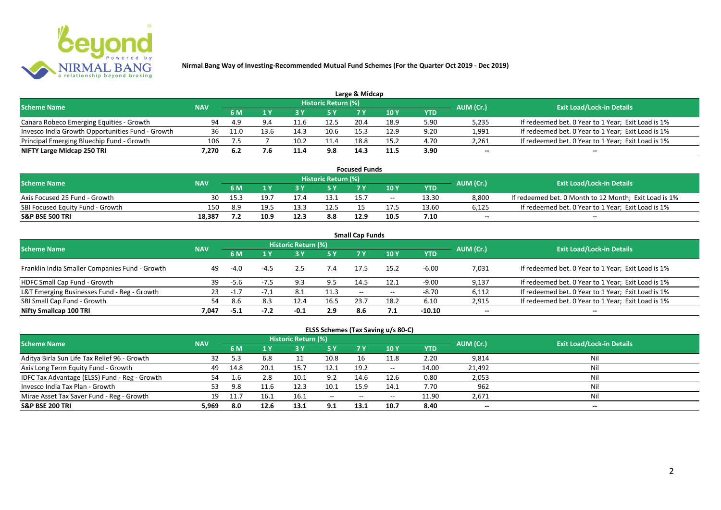

|                                                  |            |      |      |      |                            | Large & Midcap |      |      |           |                                                    |
|--------------------------------------------------|------------|------|------|------|----------------------------|----------------|------|------|-----------|----------------------------------------------------|
| <b>Scheme Name</b>                               | <b>NAV</b> |      |      |      | <b>Historic Return (%)</b> |                |      |      | AUM (Cr.) | <b>Exit Load/Lock-in Details</b>                   |
|                                                  |            | 6 M  |      |      | 5 Y                        | 7 V            |      | YTD  |           |                                                    |
| Canara Robeco Emerging Equities - Growth         | 94         | -4.9 |      |      | 12.5                       | 20.4           | 18.9 | 5.90 | 5,235     | If redeemed bet. 0 Year to 1 Year; Exit Load is 1% |
| Invesco India Growth Opportunities Fund - Growth | 36         | 11.0 | 13.6 | 14.3 | 10.6                       | 15.3           | 12.9 | 9.20 | 1,991     | If redeemed bet. 0 Year to 1 Year; Exit Load is 1% |
| Principal Emerging Bluechip Fund - Growth        | 106        |      |      | 10.2 |                            | 18.8           | 15.2 | 4.70 | 2,261     | If redeemed bet. 0 Year to 1 Year; Exit Load is 1% |
| NIFTY Large Midcap 250 TRI                       | 7.270      | -6.2 |      | 11.4 | 9.8                        | 14.3           | 11.5 | 3.90 | $- -$     | $- -$                                              |

| <b>Focused Funds</b>             |            |      |      |      |                            |      |       |       |           |                                                       |  |  |  |
|----------------------------------|------------|------|------|------|----------------------------|------|-------|-------|-----------|-------------------------------------------------------|--|--|--|
| <b>Scheme Name</b>               | <b>NAV</b> |      |      |      | <b>Historic Return (%)</b> |      |       |       | AUM (Cr.) | <b>Exit Load/Lock-in Details</b>                      |  |  |  |
|                                  |            | 6 M  |      |      | 5 Y                        |      | 10 Y  | YTD   |           |                                                       |  |  |  |
| Axis Focused 25 Fund - Growth    | 30         | 15.3 | 19.7 |      | 13.1                       | 15.7 | $- -$ | 13.30 | 8,800     | If redeemed bet. 0 Month to 12 Month; Exit Load is 1% |  |  |  |
| SBI Focused Equity Fund - Growth | 150        | 8.9  | 19.5 | 13.3 | 12.5                       |      |       | 13.60 | 6,125     | If redeemed bet. 0 Year to 1 Year; Exit Load is 1%    |  |  |  |
| <b>S&amp;P BSE 500 TRI</b>       | 18,387     |      | 10.9 | 12.5 | 8.8                        | 12.9 | 10.5  | 7.10  | $- -$     | $-$                                                   |  |  |  |

| <b>Small Cap Funds</b>                         |            |        |        |                     |      |                          |       |            |           |                                                    |  |  |  |
|------------------------------------------------|------------|--------|--------|---------------------|------|--------------------------|-------|------------|-----------|----------------------------------------------------|--|--|--|
| <b>Scheme Name</b>                             | <b>NAV</b> |        |        | Historic Return (%) |      |                          |       |            | AUM (Cr.) | <b>Exit Load/Lock-in Details</b>                   |  |  |  |
|                                                |            |        |        |                     | 5 Y  | 7 Y                      | 10Y   | <b>YTD</b> |           |                                                    |  |  |  |
| Franklin India Smaller Companies Fund - Growth | 49         | $-4.0$ | -4.5   |                     |      | 17.5                     | 15.2  | $-6.00$    | 7,031     | If redeemed bet. 0 Year to 1 Year; Exit Load is 1% |  |  |  |
| HDFC Small Cap Fund - Growth                   | 39         | -5.6   |        | 9.3                 | 9.5  | 14.5                     | 12.1  | $-9.00$    | 9,137     | If redeemed bet. 0 Year to 1 Year; Exit Load is 1% |  |  |  |
| L&T Emerging Businesses Fund - Reg - Growth    | 23         | $-1.7$ | $-7.1$ | 8.1                 | 11.3 | $\overline{\phantom{a}}$ | $- -$ | $-8.70$    | 6,112     | If redeemed bet. 0 Year to 1 Year; Exit Load is 1% |  |  |  |
| SBI Small Cap Fund - Growth                    | 54         | 8.6    | 8.3    | 12.4                | 16.5 | 23.7                     | 18.2  | 6.10       | 2,915     | If redeemed bet. 0 Year to 1 Year; Exit Load is 1% |  |  |  |
| Nifty Smallcap 100 TRI                         | 7.047      | $-5.1$ |        | $-0.1$              | 2.9  | 8.6                      |       | $-10.10$   | $- -$     | --                                                 |  |  |  |

## **ELSS Schemes (Tax Saving u/s 80-C)**

| <b>Scheme Name</b>                            | <b>NAV</b> |      |      | <b>Historic Return (%)</b> |           |       |               |       | AUM (Cr.) | <b>Exit Load/Lock-in Details</b> |
|-----------------------------------------------|------------|------|------|----------------------------|-----------|-------|---------------|-------|-----------|----------------------------------|
|                                               |            | 6 M  |      |                            | <b>5Y</b> | 7 Y   | <b>10Y</b>    | YTD   |           |                                  |
| Aditya Birla Sun Life Tax Relief 96 - Growth  | 32         |      | 6.8  |                            | 10.8      | 16    | 11.8          | 2.20  | 9,814     | Nil                              |
| Axis Long Term Equity Fund - Growth           | 49         | 14.8 | 20.1 | 15.7                       | 12.1      | 19.2  | $\sim$ $\sim$ | 14.00 | 21,492    | Nil                              |
| IDFC Tax Advantage (ELSS) Fund - Reg - Growth | 54         |      | 2.8  | 10.1                       | 9.2       | 14.6  | 12.6          | 0.80  | 2,053     | Nil                              |
| Invesco India Tax Plan - Growth               | 53         | 9.8  |      | 12.3                       | 10.1      | 15.9  | 14.1          | 7.70  | 962       | Nil                              |
| Mirae Asset Tax Saver Fund - Reg - Growth     | 19         |      | 16.1 | 16.1                       | $  \,$    | $- -$ | $- -$         | 11.90 | 2,671     | Nil                              |
| <b>S&amp;P BSE 200 TRI</b>                    | 5.969      | 8.0  | 12.6 | 13.1                       | 9.1       | 13.1  | 10.7          | 8.40  | $- -$     | $- -$                            |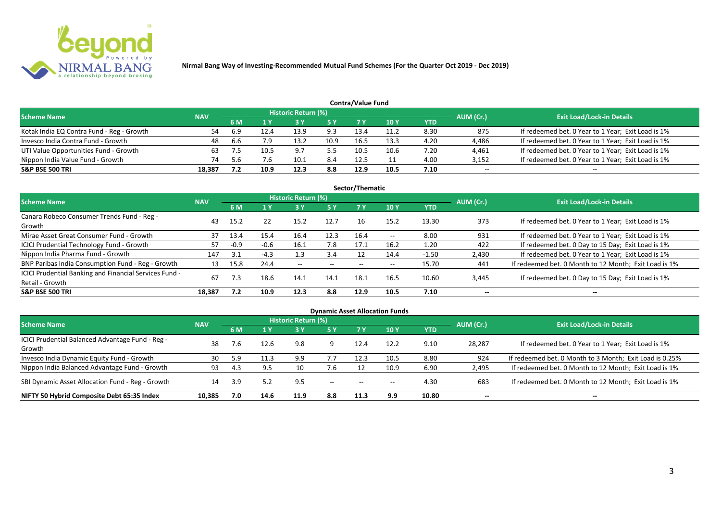

| Contra/Value Fund                         |            |     |      |                            |            |      |            |      |           |                                                    |  |  |  |  |
|-------------------------------------------|------------|-----|------|----------------------------|------------|------|------------|------|-----------|----------------------------------------------------|--|--|--|--|
| <b>Scheme Name</b>                        | <b>NAV</b> |     |      | <b>Historic Return (%)</b> |            |      |            |      | AUM (Cr.) | <b>Exit Load/Lock-in Details</b>                   |  |  |  |  |
|                                           |            | 6 M |      |                            | <b>5 Y</b> | 7 V  | <b>10Y</b> | YTD  |           |                                                    |  |  |  |  |
| Kotak India EQ Contra Fund - Reg - Growth |            | 6.9 | L2.4 | 13.9                       | 9.3        | 13.4 | 11.2       | 8.30 | 875       | If redeemed bet. 0 Year to 1 Year; Exit Load is 1% |  |  |  |  |
| Invesco India Contra Fund - Growth        | 48         | 6.6 | 7.9  | 13.2                       | 10.9       | 16.5 | 13.3       | 4.20 | 4,486     | If redeemed bet. 0 Year to 1 Year; Exit Load is 1% |  |  |  |  |
| UTI Value Opportunities Fund - Growth     | 63         |     | 10.5 | 9.7                        | 5.5        | 10.5 | 10.6       | 7.20 | 4,461     | If redeemed bet. 0 Year to 1 Year; Exit Load is 1% |  |  |  |  |
| Nippon India Value Fund - Growth          | 74         |     | 7.6  | 10.1                       | 8.4        | 12.5 |            | 4.00 | 3,152     | If redeemed bet. 0 Year to 1 Year; Exit Load is 1% |  |  |  |  |
| <b>S&amp;P BSE 500 TRI</b>                | 18.387     |     | 10.9 | 12.3                       | 8.8        | 12.9 | 10.5       | 7.10 | $- -$     | $- -$                                              |  |  |  |  |

| Sector/Thematic                                                           |            |        |        |                            |                          |      |            |            |           |                                                       |  |  |  |  |
|---------------------------------------------------------------------------|------------|--------|--------|----------------------------|--------------------------|------|------------|------------|-----------|-------------------------------------------------------|--|--|--|--|
| Scheme Name                                                               | <b>NAV</b> |        |        | <b>Historic Return (%)</b> |                          |      |            |            | AUM (Cr.) | <b>Exit Load/Lock-in Details</b>                      |  |  |  |  |
|                                                                           |            | 6 M    | 1Y     | <b>3 Y</b>                 | <b>5Y</b>                | 7 Y  | <b>10Y</b> | <b>YTD</b> |           |                                                       |  |  |  |  |
| Canara Robeco Consumer Trends Fund - Reg -<br>Growth                      | 43         | 15.2   | 22     | 15.2                       | 12.7                     | 16   | 15.2       | 13.30      | 373       | If redeemed bet. 0 Year to 1 Year; Exit Load is 1%    |  |  |  |  |
| Mirae Asset Great Consumer Fund - Growth                                  | 37         | 13.4   | 15.4   | 16.4                       | 12.3                     | 16.4 | $- -$      | 8.00       | 931       | If redeemed bet. 0 Year to 1 Year; Exit Load is 1%    |  |  |  |  |
| <b>ICICI Prudential Technology Fund - Growth</b>                          | 57         | $-0.9$ | $-0.6$ | 16.1                       | 7.8                      | 17.1 | 16.2       | 1.20       | 422       | If redeemed bet. 0 Day to 15 Day; Exit Load is 1%     |  |  |  |  |
| Nippon India Pharma Fund - Growth                                         | 147        | 3.1    | $-4.3$ | 1.3                        | 3.4                      |      | 14.4       | $-1.50$    | 2,430     | If redeemed bet. 0 Year to 1 Year; Exit Load is 1%    |  |  |  |  |
| BNP Paribas India Consumption Fund - Reg - Growth                         | 13         | 15.8   | 24.4   | $- -$                      | $\overline{\phantom{a}}$ | $-$  | $- -$      | 15.70      | 441       | If redeemed bet. 0 Month to 12 Month; Exit Load is 1% |  |  |  |  |
| ICICI Prudential Banking and Financial Services Fund -<br>Retail - Growth | 67         | 7.3    | 18.6   | 14.1                       | 14.1                     | 18.1 | 16.5       | 10.60      | 3,445     | If redeemed bet. 0 Day to 15 Day; Exit Load is 1%     |  |  |  |  |
| <b>S&amp;P BSE 500 TRI</b>                                                | 18,387     | 7.2    | 10.9   | 12.3                       | 8.8                      | 12.9 | 10.5       | 7.10       | --        | --                                                    |  |  |  |  |

|                                                            |            |           |      |                            |       |                          | <b>Dynamic Asset Allocation Funds</b> |            |           |                                                         |
|------------------------------------------------------------|------------|-----------|------|----------------------------|-------|--------------------------|---------------------------------------|------------|-----------|---------------------------------------------------------|
| Scheme Name                                                | <b>NAV</b> |           |      | <b>Historic Return (%)</b> |       |                          |                                       |            |           | <b>Exit Load/Lock-in Details</b>                        |
|                                                            |            | <b>6M</b> | 1 Y  | 3 Y                        | 5 Y   | <b>7Y</b>                | <b>10Y</b>                            | <b>YTD</b> | AUM (Cr.) |                                                         |
| ICICI Prudential Balanced Advantage Fund - Reg -<br>Growth | 38         | 7.6       | 12.6 | 9.8                        |       | 12.4                     | 12.2                                  | 9.10       | 28,287    | If redeemed bet. 0 Year to 1 Year; Exit Load is 1%      |
| Invesco India Dynamic Equity Fund - Growth                 | 30         | 5.9       | 11.3 | 9.9                        | 7.7   | 12.3                     | 10.5                                  | 8.80       | 924       | If redeemed bet. 0 Month to 3 Month; Exit Load is 0.25% |
| Nippon India Balanced Advantage Fund - Growth              | 93         | 4.3       | 9.5  | 10                         | 7.6   |                          | 10.9                                  | 6.90       | 2,495     | If redeemed bet. 0 Month to 12 Month; Exit Load is 1%   |
| SBI Dynamic Asset Allocation Fund - Reg - Growth           | 14         | 3.9       | 5.2  | 9.5                        | $- -$ | $\overline{\phantom{a}}$ | $- -$                                 | 4.30       | 683       | If redeemed bet. 0 Month to 12 Month; Exit Load is 1%   |
| NIFTY 50 Hybrid Composite Debt 65:35 Index                 | 10,385     | 7.0       | 14.6 | 11.9                       | 8.8   | 11.3                     | 9.9                                   | 10.80      | $- -$     | $- -$                                                   |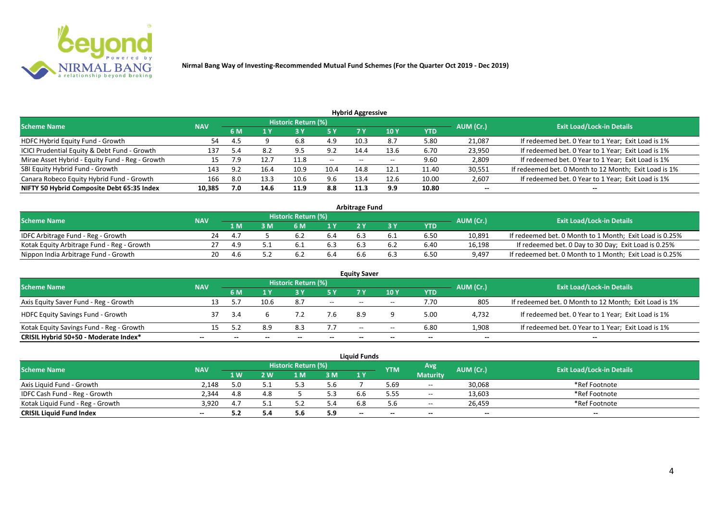

| <b>Hybrid Aggressive</b>                        |            |      |      |                            |           |                          |            |            |           |                                                       |  |  |  |  |
|-------------------------------------------------|------------|------|------|----------------------------|-----------|--------------------------|------------|------------|-----------|-------------------------------------------------------|--|--|--|--|
| <b>Scheme Name</b>                              | <b>NAV</b> |      |      | <b>Historic Return (%)</b> |           |                          |            |            | AUM (Cr.) | <b>Exit Load/Lock-in Details</b>                      |  |  |  |  |
|                                                 |            | 6 M  | 1 Y  | 3 Y                        | <b>5Y</b> | 7 Y                      | <b>10Y</b> | <b>YTD</b> |           |                                                       |  |  |  |  |
| HDFC Hybrid Equity Fund - Growth                | 54         | -4.5 |      | 6.8                        | 4.9       | 10.3                     | 8.7        | 5.80       | 21,087    | If redeemed bet. 0 Year to 1 Year; Exit Load is 1%    |  |  |  |  |
| ICICI Prudential Equity & Debt Fund - Growth    | 137        | 5.4  | 8.2  | 9.5                        | 9.2       | 14.4                     | 13.6       | 6.70       | 23,950    | If redeemed bet. 0 Year to 1 Year; Exit Load is 1%    |  |  |  |  |
| Mirae Asset Hybrid - Equity Fund - Reg - Growth | 15         |      | 12.7 | 11.8                       | $- -$     | $\overline{\phantom{a}}$ |            | 9.60       | 2,809     | If redeemed bet. 0 Year to 1 Year; Exit Load is 1%    |  |  |  |  |
| SBI Equity Hybrid Fund - Growth                 | 143        | 9.2  | 16.4 | 10.9                       | 10.4      | 14.8                     | 12.1       | 11.40      | 30,551    | If redeemed bet. 0 Month to 12 Month; Exit Load is 1% |  |  |  |  |
| Canara Robeco Equity Hybrid Fund - Growth       | 166        | 8.0  | 13.3 | 10.6                       | 9.6       | 13.4                     | 12.6       | 10.00      | 2,607     | If redeemed bet. 0 Year to 1 Year; Exit Load is 1%    |  |  |  |  |
| NIFTY 50 Hybrid Composite Debt 65:35 Index      | 10,385     | 7.0  | 14.6 | 11.9                       | 8.8       | 11.3                     | 9.9        | 10.80      | $- -$     | --                                                    |  |  |  |  |

| <b>Arbitrage Fund</b>                      |            |     |  |                            |     |     |  |            |           |                                                         |  |  |  |  |
|--------------------------------------------|------------|-----|--|----------------------------|-----|-----|--|------------|-----------|---------------------------------------------------------|--|--|--|--|
| <b>Scheme Name</b>                         | <b>NAV</b> |     |  | <b>Historic Return (%)</b> |     |     |  |            | AUM (Cr.) | <b>Exit Load/Lock-in Details</b>                        |  |  |  |  |
|                                            |            | L M |  | <b>6 M</b>                 | 4 V |     |  | <b>YTD</b> |           |                                                         |  |  |  |  |
| IDFC Arbitrage Fund - Reg - Growth         |            | 4.7 |  | 6.2                        | 6.4 | 6.3 |  | 6.50       | 10,891    | If redeemed bet. 0 Month to 1 Month; Exit Load is 0.25% |  |  |  |  |
| Kotak Equity Arbitrage Fund - Reg - Growth |            | 4.9 |  | 6.1                        |     | 6.3 |  | 6.40       | 16,198    | If redeemed bet. 0 Day to 30 Day; Exit Load is 0.25%    |  |  |  |  |
| Nippon India Arbitrage Fund - Growth       |            | 4.h |  | . ხ.                       | 6.4 | 6.6 |  | 6.50       | 9,497     | If redeemed bet. 0 Month to 1 Month; Exit Load is 0.25% |  |  |  |  |

|                                          |            |     |      |                     |        | <b>Equity Saver</b>      |       |            |           |                                                       |
|------------------------------------------|------------|-----|------|---------------------|--------|--------------------------|-------|------------|-----------|-------------------------------------------------------|
| <b>Scheme Name</b>                       | <b>NAV</b> |     |      | Historic Return (%) |        |                          |       |            | AUM (Cr.) | <b>Exit Load/Lock-in Details</b>                      |
|                                          |            | 6 M |      |                     |        |                          | 10Y   | <b>YTD</b> |           |                                                       |
| Axis Equity Saver Fund - Reg - Growth    |            |     | 10.6 | 8.7                 | $\sim$ | $-$                      | $-$   | 7.70       | 805       | If redeemed bet. 0 Month to 12 Month; Exit Load is 1% |
| <b>HDFC Equity Savings Fund - Growth</b> |            | 3.4 |      |                     | 7.6    | 8.9                      |       | 5.00       | 4,732     | If redeemed bet. 0 Year to 1 Year; Exit Load is 1%    |
| Kotak Equity Savings Fund - Reg - Growth |            |     | 8.9  | 8.3                 | 7.7    | $\overline{\phantom{a}}$ | $- -$ | 6.80       | 1,908     | If redeemed bet. 0 Year to 1 Year; Exit Load is 1%    |
| CRISIL Hybrid 50+50 - Moderate Index*    | --         |     |      | $- -$               | --     | --                       | $- -$ |            | $- -$     | $- -$                                                 |

| <b>Liquid Funds</b>              |            |            |     |                     |     |       |            |                 |           |                                  |  |  |  |
|----------------------------------|------------|------------|-----|---------------------|-----|-------|------------|-----------------|-----------|----------------------------------|--|--|--|
| <b>Scheme Name</b>               | <b>NAV</b> |            |     | Historic Return (%) |     |       | <b>YTM</b> | Avg             | AUM (Cr.) | <b>Exit Load/Lock-in Details</b> |  |  |  |
|                                  |            | <b>1 W</b> | 2 W | 1 M                 | 3M  | 1 Y   |            | <b>Maturity</b> |           |                                  |  |  |  |
| Axis Liquid Fund - Growth        | 2.148      |            |     |                     | 5.6 |       | 5.69       | $\sim$          | 30,068    | *Ref Footnote                    |  |  |  |
| IDFC Cash Fund - Reg - Growth    | 2.344      | 4.8        |     |                     | 5.3 |       | 5.55       | $\sim$          | 13,603    | *Ref Footnote                    |  |  |  |
| Kotak Liquid Fund - Reg - Growth | 3.920      | 4.7        |     |                     | 5.4 |       | 5.6        | $- -$           | 26.459    | *Ref Footnote                    |  |  |  |
| <b>CRISIL Liquid Fund Index</b>  | $- -$      | 5.2        |     | J.U                 | 5.9 | $- -$ |            | $- -$           | $- -$     | $- -$                            |  |  |  |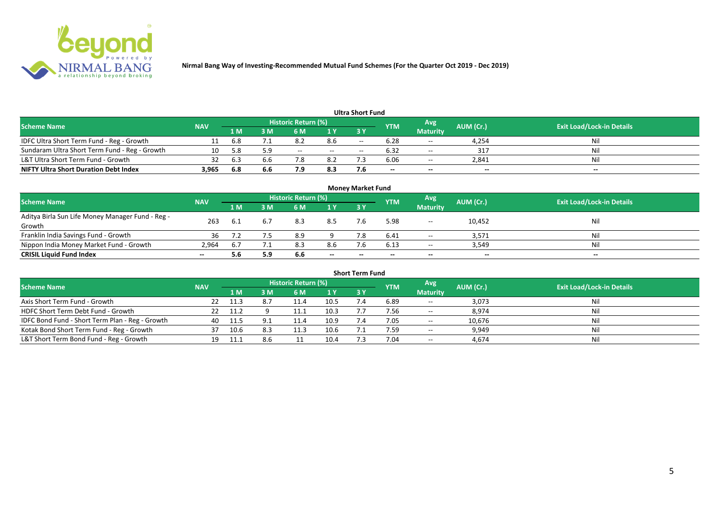

| <b>Ultra Short Fund</b>                       |            |      |     |                            |        |       |            |                 |           |                                  |  |  |  |  |
|-----------------------------------------------|------------|------|-----|----------------------------|--------|-------|------------|-----------------|-----------|----------------------------------|--|--|--|--|
| <b>Scheme Name</b>                            | <b>NAV</b> |      |     | <b>Historic Return (%)</b> |        |       | <b>YTM</b> | Avg             | AUM (Cr.) | <b>Exit Load/Lock-in Details</b> |  |  |  |  |
|                                               |            | '1 M | : M | 6 M                        | 1 Y    | 3 Y   |            | <b>Maturity</b> |           |                                  |  |  |  |  |
| IDFC Ultra Short Term Fund - Reg - Growth     |            | 6.8  |     | 8.2                        | 8.6    | $- -$ | 6.28       | $\sim$ $\sim$   | 4,254     | Nil                              |  |  |  |  |
| Sundaram Ultra Short Term Fund - Reg - Growth | 10         | 5.8  | 5.9 | $- -$                      | $  \,$ | $-$   | 6.32       | $\sim$ $\sim$   | 317       | Nil                              |  |  |  |  |
| L&T Ultra Short Term Fund - Growth            | 32         | 6.3  | 6.6 | 7.8                        | 8.2    |       | 6.06       | $\sim$          | 2,841     | Nil                              |  |  |  |  |
| <b>NIFTY Ultra Short Duration Debt Index</b>  | 3,965      | 6.8  | 6.6 | 7.9                        | 8.3    |       | $- -$      | $- -$           | $- -$     | $- -$                            |  |  |  |  |

| <b>Money Market Fund</b>                                   |            |     |     |                     |       |           |             |                 |           |                                  |  |  |  |
|------------------------------------------------------------|------------|-----|-----|---------------------|-------|-----------|-------------|-----------------|-----------|----------------------------------|--|--|--|
| <b>Scheme Name</b>                                         | <b>NAV</b> |     |     | Historic Return (%) |       |           | <b>IYTM</b> | Avg             | AUM (Cr.) | <b>Exit Load/Lock-in Details</b> |  |  |  |
|                                                            |            | 1 M | I M | 6 M                 | 1Y    | <b>3Y</b> |             | <b>Maturity</b> |           |                                  |  |  |  |
| Aditya Birla Sun Life Money Manager Fund - Reg -<br>Growth | 263        |     | 6.7 | 8.3                 | 8.5   |           | 5.98        | $- -$           | 10,452    | Nil                              |  |  |  |
| Franklin India Savings Fund - Growth                       | 36         |     |     | 8.9                 |       |           | 6.41        | $- -$           | 3,571     | Nil                              |  |  |  |
| Nippon India Money Market Fund - Growth                    | 2,964      |     |     | 8.3                 | 8.6   |           | 6.13        | $- -$           | 3,549     | Nil                              |  |  |  |
| <b>CRISIL Liquid Fund Index</b>                            | $- -$      | 5.6 | 5.9 | 6.6                 | $- -$ | $- -$     | $- -$       | $-$             | $- -$     | $- -$                            |  |  |  |

| <b>Short Term Fund</b>                          |            |       |     |                     |      |           |            |                 |           |                                  |  |  |  |  |
|-------------------------------------------------|------------|-------|-----|---------------------|------|-----------|------------|-----------------|-----------|----------------------------------|--|--|--|--|
| <b>Scheme Name</b>                              | <b>NAV</b> |       |     | Historic Return (%) |      |           | <b>YTM</b> | Avg             | AUM (Cr.) | <b>Exit Load/Lock-in Details</b> |  |  |  |  |
|                                                 |            | '1 M. | 3 M | 6 M                 | 1Y   | <b>3Y</b> |            | <b>Maturity</b> |           |                                  |  |  |  |  |
| Axis Short Term Fund - Growth                   | 22         | 11.3  |     |                     | 10.5 |           | 6.89       | $- -$           | 3,073     | Nil                              |  |  |  |  |
| HDFC Short Term Debt Fund - Growth              |            | 11.2  |     |                     | 10.3 |           | 7.56       | $\sim$          | 8,974     | Nil                              |  |  |  |  |
| IDFC Bond Fund - Short Term Plan - Reg - Growth | 40         | -11.5 |     | 11.4                | 10.9 |           | 7.05       | $- -$           | 10,676    | Nil                              |  |  |  |  |
| Kotak Bond Short Term Fund - Reg - Growth       |            | 10.6  |     | 11.3                | 10.6 |           | 7.59       | $- -$           | 9,949     | Nil                              |  |  |  |  |
| L&T Short Term Bond Fund - Reg - Growth         | 19         |       | 8.6 |                     | 10.4 |           | 7.04       | $\sim$          | 4,674     | Nil                              |  |  |  |  |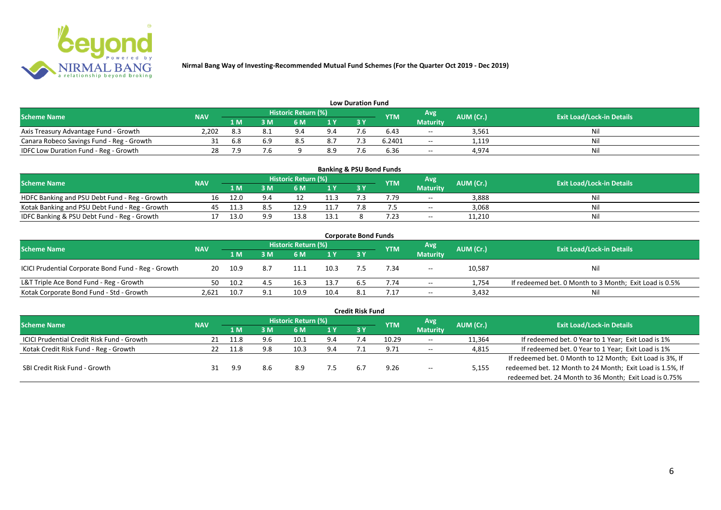

| <b>Low Duration Fund</b>                  |            |     |     |                            |     |     |            |                 |           |                                  |  |  |  |  |
|-------------------------------------------|------------|-----|-----|----------------------------|-----|-----|------------|-----------------|-----------|----------------------------------|--|--|--|--|
| <b>Scheme Name</b>                        | <b>NAV</b> |     |     | <b>Historic Return (%)</b> |     |     | <b>YTM</b> | Avg             | AUM (Cr.) | <b>Exit Load/Lock-in Details</b> |  |  |  |  |
|                                           |            | 1 M | 3 M |                            | 1Y  | 3Y  |            | <b>Maturity</b> |           |                                  |  |  |  |  |
| Axis Treasury Advantage Fund - Growth     | 2.202      |     |     | $Q \Lambda$                | 9.4 | - - | 6.43       | $- -$           | 3,561     | Ni                               |  |  |  |  |
| Canara Robeco Savings Fund - Reg - Growth |            | 6.8 |     |                            | 8.7 |     | 6.2401     | $-$             | 1,119     | Nil                              |  |  |  |  |
| IDFC Low Duration Fund - Reg - Growth     |            | 7.9 |     |                            | 8.9 |     | 6.36       | $-$             | 4,974     | Nil                              |  |  |  |  |

| <b>Banking &amp; PSU Bond Funds</b>            |            |      |     |                            |      |            |            |                 |           |                                  |  |  |  |
|------------------------------------------------|------------|------|-----|----------------------------|------|------------|------------|-----------------|-----------|----------------------------------|--|--|--|
| <b>Scheme Name</b>                             | <b>NAV</b> |      |     | <b>Historic Return (%)</b> |      |            | <b>YTM</b> | Avg             | AUM (Cr.) | <b>Exit Load/Lock-in Details</b> |  |  |  |
|                                                |            | 1 M  |     | 6 M                        |      | <b>3 Y</b> |            | <b>Maturity</b> |           |                                  |  |  |  |
| HDFC Banking and PSU Debt Fund - Reg - Growth  | 16         | 12.0 | 9.4 |                            | 11.3 |            | 7.79       | $\sim$          | 3,888     | Nil                              |  |  |  |
| Kotak Banking and PSU Debt Fund - Reg - Growth |            |      |     |                            |      |            |            | $\sim$ $\sim$   | 3,068     | Nil                              |  |  |  |
| IDFC Banking & PSU Debt Fund - Reg - Growth    |            | 13.0 | a a | 13.8                       | 13.1 |            |            | $\sim$ $\sim$   | 11,210    | Nil                              |  |  |  |

| <b>Corporate Bond Funds</b>                         |            |      |     |                            |              |     |            |                 |           |                                                        |  |  |  |
|-----------------------------------------------------|------------|------|-----|----------------------------|--------------|-----|------------|-----------------|-----------|--------------------------------------------------------|--|--|--|
| <b>Scheme Name</b>                                  | <b>NAV</b> |      |     | <b>Historic Return (%)</b> |              |     | <b>YTM</b> | <b>Avg</b>      | AUM (Cr.) | <b>Exit Load/Lock-in Details</b>                       |  |  |  |
|                                                     |            | 1 M  | I M | 6 M                        | $\sqrt{1}$ Y | 3 Y |            | <b>Maturity</b> |           |                                                        |  |  |  |
| ICICI Prudential Corporate Bond Fund - Reg - Growth | 20         | 10.9 | 8.7 |                            | 10.3         |     | 7.34       | $\sim$ $\sim$   | 10,587    | Nil                                                    |  |  |  |
| L&T Triple Ace Bond Fund - Reg - Growth             | 50.        | 10.2 |     | 16.3                       | 13.7         |     | 7.74       | $- -$           | 1,754     | If redeemed bet. 0 Month to 3 Month; Exit Load is 0.5% |  |  |  |
| Kotak Corporate Bond Fund - Std - Growth            | 2.621      | 10.7 | 9.1 | 10.9                       | 10.4         | 8.1 |            | $-$             | 3,432     | Nil                                                    |  |  |  |

|                                                   |            |      |     |                            |     | <b>Credit Risk Fund</b> |            |                 |           |                                                           |
|---------------------------------------------------|------------|------|-----|----------------------------|-----|-------------------------|------------|-----------------|-----------|-----------------------------------------------------------|
| <b>Scheme Name</b>                                | <b>NAV</b> |      |     | <b>Historic Return (%)</b> |     |                         | <b>YTM</b> | Avg             | AUM (Cr.) | <b>Exit Load/Lock-in Details</b>                          |
|                                                   |            | 1 M  | I M | 6 M                        | 1 Y | 3 Y                     |            | <b>Maturity</b> |           |                                                           |
| <b>ICICI Prudential Credit Risk Fund - Growth</b> | 21         | 11.8 | 9.6 | 10.1                       | 9.4 |                         | 10.29      | $- -$           | 11,364    | If redeemed bet. 0 Year to 1 Year; Exit Load is 1%        |
| Kotak Credit Risk Fund - Reg - Growth             |            | 11.8 | 9.8 | 10.3                       | 9.4 |                         | 9.71       | $- -$           | 4,815     | If redeemed bet. 0 Year to 1 Year; Exit Load is 1%        |
|                                                   |            |      |     |                            |     |                         |            |                 |           | If redeemed bet. 0 Month to 12 Month; Exit Load is 3%, If |
| SBI Credit Risk Fund - Growth                     |            | 9.9  | 8.6 | 8.9                        |     |                         | 9.26       | $- -$           | 5,155     | redeemed bet. 12 Month to 24 Month; Exit Load is 1.5%, If |
|                                                   |            |      |     |                            |     |                         |            |                 |           | redeemed bet. 24 Month to 36 Month; Exit Load is 0.75%    |